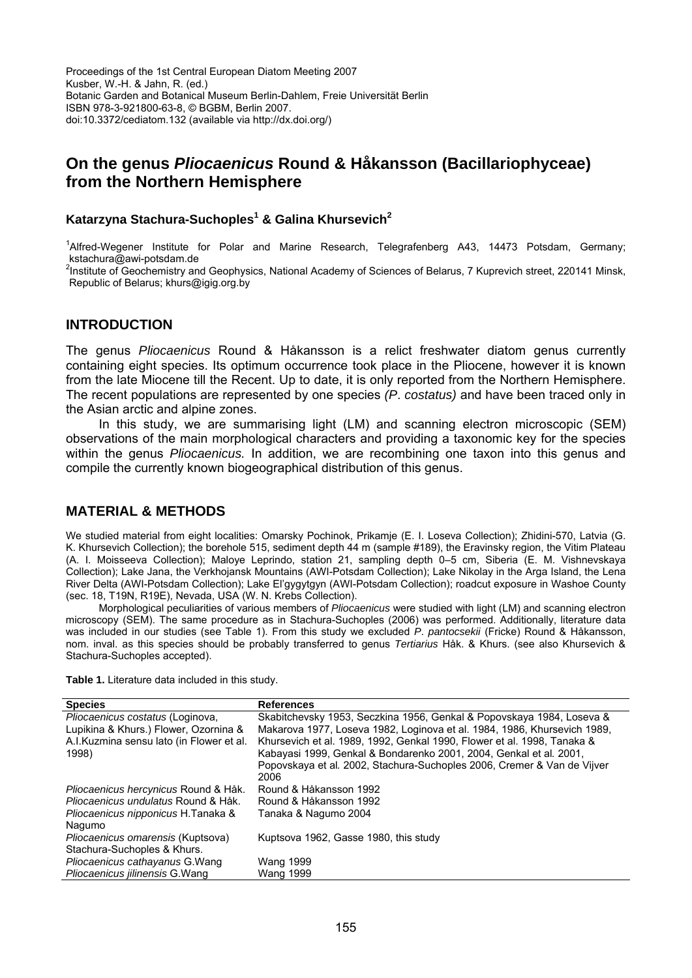# **On the genus** *Pliocaenicus* **Round & Håkansson (Bacillariophyceae) from the Northern Hemisphere**

# **Katarzyna Stachura-Suchoples<sup>1</sup> & Galina Khursevich<sup>2</sup>**

<sup>1</sup>Alfred-Wegener Institute for Polar and Marine Research, Telegrafenberg A43, 14473 Potsdam, Germany; kstachura@awi-potsdam.de

<sup>2</sup>Institute of Geochemistry and Geophysics, National Academy of Sciences of Belarus, 7 Kuprevich street, 220141 Minsk, Republic of Belarus; khurs@igig.org.by

## **INTRODUCTION**

The genus *Pliocaenicus* Round & Håkansson is a relict freshwater diatom genus currently containing eight species. Its optimum occurrence took place in the Pliocene, however it is known from the late Miocene till the Recent. Up to date, it is only reported from the Northern Hemisphere. The recent populations are represented by one species *(P*. *costatus)* and have been traced only in the Asian arctic and alpine zones.

In this study, we are summarising light (LM) and scanning electron microscopic (SEM) observations of the main morphological characters and providing a taxonomic key for the species within the genus *Pliocaenicus.* In addition, we are recombining one taxon into this genus and compile the currently known biogeographical distribution of this genus.

# **MATERIAL & METHODS**

We studied material from eight localities: Omarsky Pochinok, Prikamje (E. I. Loseva Collection); Zhidini-570, Latvia (G. K. Khursevich Collection); the borehole 515, sediment depth 44 m (sample #189), the Eravinsky region, the Vitim Plateau (A. I. Moisseeva Collection); Maloye Leprindo, station 21, sampling depth 0–5 cm, Siberia (E. M. Vishnevskaya Collection); Lake Jana, the Verkhojansk Mountains (AWI-Potsdam Collection); Lake Nikolay in the Arga Island, the Lena River Delta (AWI-Potsdam Collection); Lake El'gygytgyn (AWI-Potsdam Collection); roadcut exposure in Washoe County (sec. 18, T19N, R19E), Nevada, USA (W. N. Krebs Collection).

Morphological peculiarities of various members of *Pliocaenicus* were studied with light (LM) and scanning electron microscopy (SEM). The same procedure as in Stachura-Suchoples (2006) was performed. Additionally, literature data was included in our studies (see Table 1). From this study we excluded *P*. *pantocsekii* (Fricke) Round & Håkansson, nom. inval. as this species should be probably transferred to genus *Tertiarius* Håk. & Khurs. (see also Khursevich & Stachura-Suchoples accepted).

**Table 1.** Literature data included in this study.

| <b>Species</b>                            | <b>References</b>                                                        |
|-------------------------------------------|--------------------------------------------------------------------------|
| Pliocaenicus costatus (Loginova,          | Skabitchevsky 1953, Seczkina 1956, Genkal & Popovskaya 1984, Loseva &    |
| Lupikina & Khurs.) Flower, Ozornina &     | Makarova 1977, Loseva 1982, Loginova et al. 1984, 1986, Khursevich 1989, |
| A.I. Kuzmina sensu lato (in Flower et al. | Khursevich et al. 1989, 1992, Genkal 1990, Flower et al. 1998, Tanaka &  |
| 1998)                                     | Kabayasi 1999, Genkal & Bondarenko 2001, 2004, Genkal et al. 2001,       |
|                                           | Popovskaya et al. 2002, Stachura-Suchoples 2006, Cremer & Van de Vijver  |
|                                           | 2006                                                                     |
| Pliocaenicus hercynicus Round & Håk.      | Round & Håkansson 1992                                                   |
| Pliocaenicus undulatus Round & Håk.       | Round & Håkansson 1992                                                   |
| Pliocaenicus nipponicus H.Tanaka &        | Tanaka & Nagumo 2004                                                     |
| Nagumo                                    |                                                                          |
| Pliocaenicus omarensis (Kuptsova)         | Kuptsova 1962, Gasse 1980, this study                                    |
| Stachura-Suchoples & Khurs.               |                                                                          |
| Pliocaenicus cathayanus G. Wang           | <b>Wang 1999</b>                                                         |
| Pliocaenicus jilinensis G. Wang           | <b>Wang 1999</b>                                                         |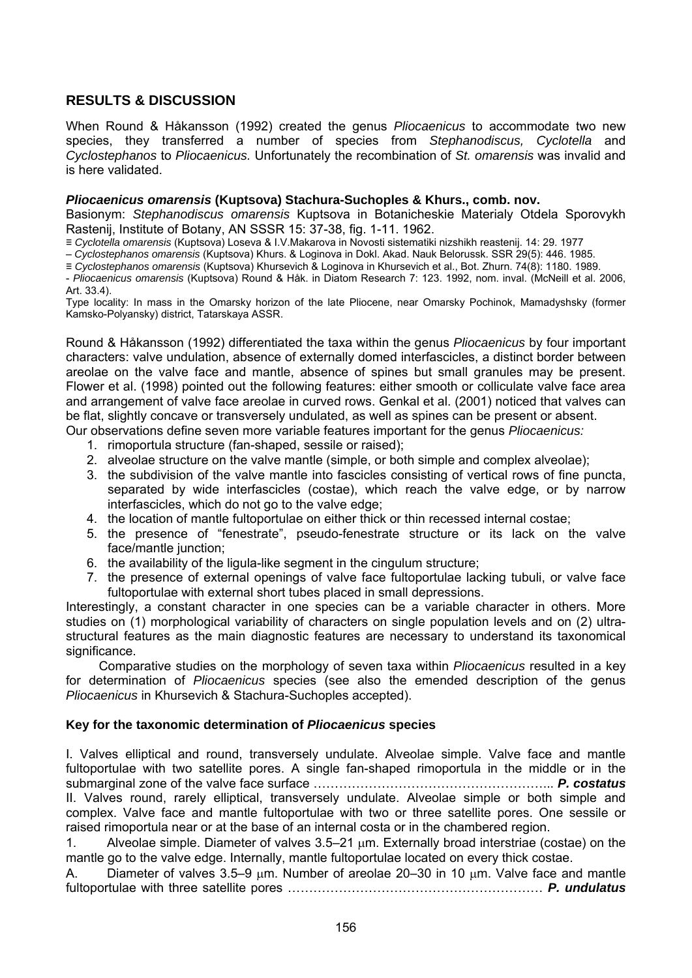# **RESULTS & DISCUSSION**

When Round & Håkansson (1992) created the genus *Pliocaenicus* to accommodate two new species, they transferred a number of species from *Stephanodiscus, Cyclotella* and *Cyclostephanos* to *Pliocaenicus.* Unfortunately the recombination of *St. omarensis* was invalid and is here validated.

#### *Pliocaenicus omarensis* **(Kuptsova) Stachura-Suchoples & Khurs., comb. nov.**

Basionym: *Stephanodiscus omarensis* Kuptsova in Botanicheskie Materialy Otdela Sporovykh Rastenij, Institute of Botany, AN SSSR 15: 37-38, fig. 1-11. 1962.

≡ *Cyclotella omarensis* (Kuptsova) Loseva & I.V.Makarova in Novosti sistematiki nizshikh reastenij. 14: 29. 1977

– *Cyclostephanos omarensis* (Kuptsova) Khurs. & Loginova in Dokl. Akad. Nauk Belorussk. SSR 29(5): 446. 1985.

≡ *Cyclostephanos omarensis* (Kuptsova) Khursevich & Loginova in Khursevich et al., Bot. Zhurn. 74(8): 1180. 1989.

- *Pliocaenicus omarensis* (Kuptsova) Round & Håk. in Diatom Research 7: 123. 1992, nom. inval. (McNeill et al. 2006, Art. 33.4).

Type locality: In mass in the Omarsky horizon of the late Pliocene, near Omarsky Pochinok, Mamadyshsky (former Kamsko-Polyansky) district, Tatarskaya ASSR.

Round & Håkansson (1992) differentiated the taxa within the genus *Pliocaenicus* by four important characters: valve undulation, absence of externally domed interfascicles, a distinct border between areolae on the valve face and mantle, absence of spines but small granules may be present. Flower et al. (1998) pointed out the following features: either smooth or colliculate valve face area and arrangement of valve face areolae in curved rows. Genkal et al. (2001) noticed that valves can be flat, slightly concave or transversely undulated, as well as spines can be present or absent. Our observations define seven more variable features important for the genus *Pliocaenicus:*

- 1. rimoportula structure (fan-shaped, sessile or raised);
- 2. alveolae structure on the valve mantle (simple, or both simple and complex alveolae);
- 3. the subdivision of the valve mantle into fascicles consisting of vertical rows of fine puncta, separated by wide interfascicles (costae), which reach the valve edge, or by narrow interfascicles, which do not go to the valve edge;
- 4. the location of mantle fultoportulae on either thick or thin recessed internal costae;
- 5. the presence of "fenestrate", pseudo-fenestrate structure or its lack on the valve face/mantle junction;
- 6. the availability of the ligula-like segment in the cingulum structure;
- 7. the presence of external openings of valve face fultoportulae lacking tubuli, or valve face fultoportulae with external short tubes placed in small depressions.

Interestingly, a constant character in one species can be a variable character in others. More studies on (1) morphological variability of characters on single population levels and on (2) ultrastructural features as the main diagnostic features are necessary to understand its taxonomical significance.

Comparative studies on the morphology of seven taxa within *Pliocaenicus* resulted in a key for determination of *Pliocaenicus* species (see also the emended description of the genus *Pliocaenicus* in Khursevich & Stachura-Suchoples accepted).

#### **Key for the taxonomic determination of** *Pliocaenicus* **species**

I. Valves elliptical and round, transversely undulate. Alveolae simple. Valve face and mantle fultoportulae with two satellite pores. A single fan-shaped rimoportula in the middle or in the submarginal zone of the valve face surface ………………………………………………... *P. costatus* II. Valves round, rarely elliptical, transversely undulate. Alveolae simple or both simple and complex. Valve face and mantle fultoportulae with two or three satellite pores. One sessile or raised rimoportula near or at the base of an internal costa or in the chambered region.

1. Alveolae simple. Diameter of valves 3.5–21 μm. Externally broad interstriae (costae) on the mantle go to the valve edge. Internally, mantle fultoportulae located on every thick costae.

A. Diameter of valves 3.5–9 μm. Number of areolae 20–30 in 10 μm. Valve face and mantle fultoportulae with three satellite pores …………………………………………………… *P. undulatus*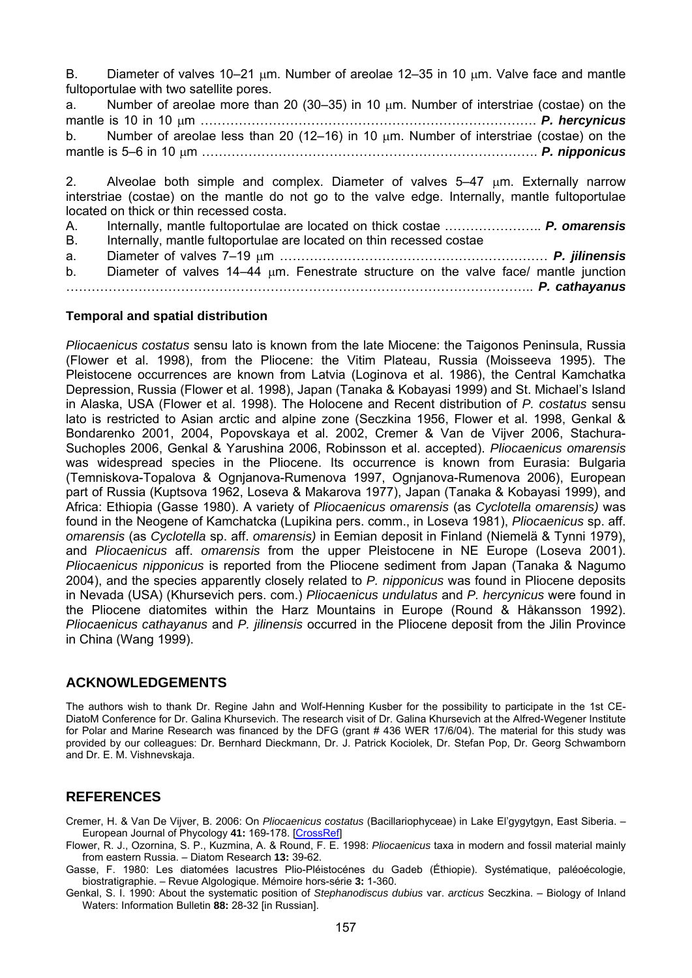B. Diameter of valves 10–21 μm. Number of areolae 12–35 in 10 μm. Valve face and mantle fultoportulae with two satellite pores.

a. Number of areolae more than 20 (30–35) in 10 μm. Number of interstriae (costae) on the mantle is 10 in 10 μm ……………………………………………………………………. *P. hercynicus* b. Number of areolae less than 20 (12–16) in 10 μm. Number of interstriae (costae) on the mantle is 5–6 in 10 μm ……………………………………………………………………. *P. nipponicus* 

2. Alveolae both simple and complex. Diameter of valves 5–47 μm. Externally narrow interstriae (costae) on the mantle do not go to the valve edge. Internally, mantle fultoportulae located on thick or thin recessed costa.

A. Internally, mantle fultoportulae are located on thick costae ………………….. *P. omarensis* B. Internally, mantle fultoportulae are located on thin recessed costae a. Diameter of valves 7–19 μm ……………………………………………………… *P. jilinensis* b. Diameter of valves 14–44 μm. Fenestrate structure on the valve face/ mantle junction ……………………………………………………………………………………………….. *P. cathayanus*

#### **Temporal and spatial distribution**

*Pliocaenicus costatus* sensu lato is known from the late Miocene: the Taigonos Peninsula, Russia (Flower et al. 1998), from the Pliocene: the Vitim Plateau, Russia (Moisseeva 1995). The Pleistocene occurrences are known from Latvia (Loginova et al. 1986), the Central Kamchatka Depression, Russia (Flower et al. 1998), Japan (Tanaka & Kobayasi 1999) and St. Michael's Island in Alaska, USA (Flower et al. 1998). The Holocene and Recent distribution of *P. costatus* sensu lato is restricted to Asian arctic and alpine zone (Seczkina 1956, Flower et al. 1998, Genkal & Bondarenko 2001, 2004, Popovskaya et al. 2002, Cremer & Van de Vijver 2006, Stachura-Suchoples 2006, Genkal & Yarushina 2006, Robinsson et al. accepted). *Pliocaenicus omarensis* was widespread species in the Pliocene. Its occurrence is known from Eurasia: Bulgaria (Temniskova-Topalova & Ognjanova-Rumenova 1997, Ognjanova-Rumenova 2006), European part of Russia (Kuptsova 1962, Loseva & Makarova 1977), Japan (Tanaka & Kobayasi 1999), and Africa: Ethiopia (Gasse 1980). A variety of *Pliocaenicus omarensis* (as *Cyclotella omarensis)* was found in the Neogene of Kamchatcka (Lupikina pers. comm., in Loseva 1981), *Pliocaenicus* sp. aff. *omarensis* (as *Cyclotella* sp. aff. *omarensis)* in Eemian deposit in Finland (Niemelä & Tynni 1979), and *Pliocaenicus* aff. *omarensis* from the upper Pleistocene in NE Europe (Loseva 2001). *Pliocaenicus nipponicus* is reported from the Pliocene sediment from Japan (Tanaka & Nagumo 2004), and the species apparently closely related to *P. nipponicus* was found in Pliocene deposits in Nevada (USA) (Khursevich pers. com.) *Pliocaenicus undulatus* and *P. hercynicus* were found in the Pliocene diatomites within the Harz Mountains in Europe (Round & Håkansson 1992). *Pliocaenicus cathayanus* and *P. jilinensis* occurred in the Pliocene deposit from the Jilin Province in China (Wang 1999).

## **ACKNOWLEDGEMENTS**

The authors wish to thank Dr. Regine Jahn and Wolf-Henning Kusber for the possibility to participate in the 1st CE-DiatoM Conference for Dr. Galina Khursevich. The research visit of Dr. Galina Khursevich at the Alfred-Wegener Institute for Polar and Marine Research was financed by the DFG (grant # 436 WER 17/6/04). The material for this study was provided by our colleagues: Dr. Bernhard Dieckmann, Dr. J. Patrick Kociolek, Dr. Stefan Pop, Dr. Georg Schwamborn and Dr. E. M. Vishnevskaja.

## **REFERENCES**

Cremer, H. & Van De Vijver, B. 2006: On *Pliocaenicus costatus* (Bacillariophyceae) in Lake El'gygytgyn, East Siberia. – European Journal of Phycology **41:** 169-178. [[CrossRef\]](http://dx.doi.org/10.1080/09670260600621932)

Flower, R. J., Ozornina, S. P., Kuzmina, A. & Round, F. E. 1998: *Pliocaenicus* taxa in modern and fossil material mainly from eastern Russia. – Diatom Research **13:** 39-62.

Gasse, F. 1980: Les diatomées lacustres Plio-Pléistocénes du Gadeb (Éthiopie). Systématique, paléoécologie, biostratigraphie. – Revue Algologique. Mémoire hors-série **3:** 1-360.

Genkal, S. I. 1990: About the systematic position of *Stephanodiscus dubius* var. *arcticus* Seczkina. – Biology of Inland Waters: Information Bulletin **88:** 28-32 [in Russian].